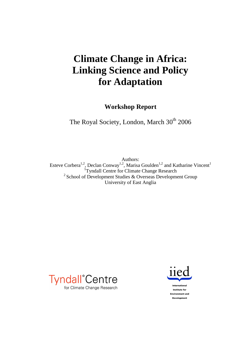# **Climate Change in Africa: Linking Science and Policy for Adaptation**

**Workshop Report** 

The Royal Society, London, March 30<sup>th</sup> 2006

Authors: Esteve Corbera<sup>1,2</sup>, Declan Conway<sup>1,2</sup>, Marisa Goulden<sup>1,2</sup> and Katharine Vincent<sup>1</sup><br><sup>1</sup>Tyndall Centre for Climate Change Research  $2$  School of Development Studies & Overseas Development Group University of East Anglia



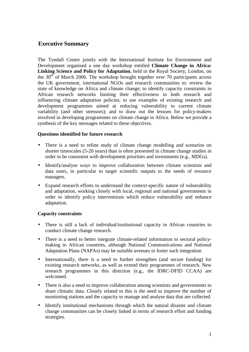## **Executive Summary**

The Tyndall Centre jointly with the International Institute for Environment and Development organised a one day workshop entitled **Climate Change in Africa: Linking Science and Policy for Adaptation**, held in the Royal Society, London, on the  $30<sup>th</sup>$  of March 2006. The workshop brought together over 70 participants across the UK government, international NGOs and research communities to: review the state of knowledge on Africa and climate change; to identify capacity constraints in African research networks limiting their effectiveness in both research and influencing climate adaptation policies; to use examples of existing research and development programmes aimed at reducing vulnerability to current climate variability (and other stressors); and to draw out the lessons for policy-makers involved in developing programmes on climate change in Africa. Below we provide a synthesis of the key messages related to these objectives.

#### **Questions identified for future research**

- There is a need to refine study of climate change modelling and scenarios on shorter timescales (5-20 years) than is often presented in climate change studies in order to be consistent with development priorities and investments (e.g., MDGs).
- Identify/analyse ways to improve collaboration between climate scientists and data users, in particular to target scientific outputs to the needs of resource managers.
- Expand research efforts to understand the context-specific nature of vulnerability and adaptation, working closely with local, regional and national governments in order to identify policy interventions which reduce vulnerability and enhance adaptation.

#### **Capacity constraints**

- There is still a lack of individual/institutional capacity in African countries to conduct climate change research.
- There is a need to better integrate climate-related information to sectoral policymaking in African countries, although National Communications and National Adaptation Plans (NAPAs) may be suitable avenues to foster such integration
- Internationally, there is a need to further strengthen (and secure funding) for existing research networks, as well as extend their programmes of research. New research programmes in this direction (e.g., the IDRC-DFID CCAA) are welcomed.
- There is also a need to improve collaboration among scientists and governments to share climatic data. Closely related to this is the need to improve the number of monitoring stations and the capacity to manage and analyse data that are collected.
- Identify institutional mechanisms through which the natural disaster and climate change communities can be closely linked in terms of research effort and funding strategies.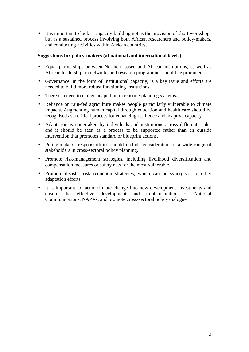• It is important to look at capacity-building not as the provision of short workshops but as a sustained process involving both African researchers and policy-makers, and conducting activities within African countries.

#### **Suggestions for policy-makers (at national and international levels)**

- Equal partnerships between Northern-based and African institutions, as well as African leadership, in networks and research programmes should be promoted.
- Governance, in the form of institutional capacity, is a key issue and efforts are needed to build more robust functioning institutions.
- There is a need to embed adaptation in existing planning systems.
- Reliance on rain-fed agriculture makes people particularly vulnerable to climate impacts. Augmenting human capital through education and health care should be recognised as a critical process for enhancing resilience and adaptive capacity.
- Adaptation is undertaken by individuals and institutions across different scales and it should be seen as a process to be supported rather than an outside intervention that promotes standard or blueprint actions.
- Policy-makers' responsibilities should include consideration of a wide range of stakeholders in cross-sectoral policy planning.
- Promote risk-management strategies, including livelihood diversification and compensation measures or safety nets for the most vulnerable.
- Promote disaster risk reduction strategies, which can be synergistic to other adaptation efforts.
- It is important to factor climate change into new development investments and ensure the effective development and implementation of National Communications, NAPAs, and promote cross-sectoral policy dialogue.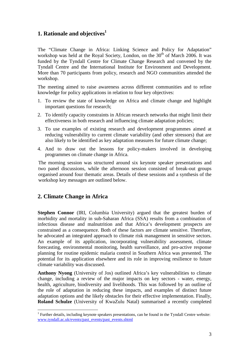## **1. Rationale and objectives<sup>1</sup>**

The "Climate Change in Africa: Linking Science and Policy for Adaptation" workshop was held at the Royal Society, London, on the  $30<sup>th</sup>$  of March 2006. It was funded by the Tyndall Centre for Climate Change Research and convened by the Tyndall Centre and the International Institute for Environment and Development. More than 70 participants from policy, research and NGO communities attended the workshop.

The meeting aimed to raise awareness across different communities and to refine knowledge for policy applications in relation to four key objectives:

- 1. To review the state of knowledge on Africa and climate change and highlight important questions for research;
- 2. To identify capacity constraints in African research networks that might limit their effectiveness in both research and influencing climate adaptation policies;
- 3. To use examples of existing research and development programmes aimed at reducing vulnerability to current climate variability (and other stressors) that are also likely to be identified as key adaptation measures for future climate change;
- 4. And to draw out the lessons for policy-makers involved in developing programmes on climate change in Africa.

The morning session was structured around six keynote speaker presentations and two panel discussions, while the afternoon session consisted of break-out groups organised around four thematic areas. Details of these sessions and a synthesis of the workshop key messages are outlined below.

## **2. Climate Change in Africa**

**Stephen Connor** *(IRI, Columbia University)* argued that the greatest burden of morbidity and mortality in sub-Saharan Africa (SSA) results from a combination of infectious disease and malnutrition and that Africa's development prospects are constrained as a consequence. Both of these factors are climate sensitive. Therefore, he advocated an integrated approach to climate risk management in sensitive sectors. An example of its application, incorporating vulnerability assessment, climate forecasting, environmental monitoring, health surveillance, and pro-active response planning for routine epidemic malaria control in Southern Africa was presented. The potential for its application elsewhere and its role in improving resilience to future climate variability was discussed.

**Anthony Nyong** (University of Jos) outlined Africa's key vulnerabilities to climate change, including a review of the major impacts on key sectors - water, energy, health, agriculture, biodiversity and livelihoods. This was followed by an outline of the role of adaptation in reducing these impacts, and examples of distinct future adaptation options and the likely obstacles for their effective implementation. Finally, **Roland Schulze** (University of KwaZulu Natal) summarised a recently completed

 $\overline{a}$ <sup>1</sup> Further details, including keynote speakers presentations, can be found in the Tyndall Centre website: www.tyndall.ac.uk/events/past\_events/past\_events.shtml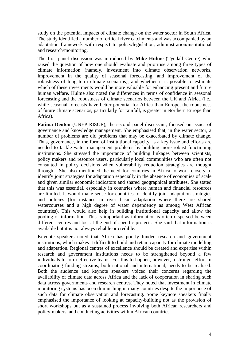study on the potential impacts of climate change on the water sector in South Africa. The study identified a number of critical river catchments and was accompanied by an adaptation framework with respect to policy/legislation, administration/institutional and research/monitoring.

The first panel discussion was introduced by **Mike Hulme** (Tyndall Centre) who raised the question of how one should evaluate and prioritise among three types of climate information (namely, investment into climate observation networks, improvement in the quality of seasonal forecasting, and improvement of the robustness of long term climate scenarios), and whether it is possible to estimate which of these investments would be more valuable for enhancing present and future human welfare. Hulme also noted the differences in terms of confidence in seasonal forecasting and the robustness of climate scenarios between the UK and Africa (i.e., while seasonal forecasts have better potential for Africa than Europe, the robustness of future climate scenarios, particularly for rainfall, is greater in Northern Europe than Africa).

**Fatima Denton** (UNEP RISOE), the second panel discussant, focused on issues of governance and knowledge management. She emphasised that, in the water sector, a number of problems are old problems that may be exacerbated by climate change. Thus, governance, in the form of institutional capacity, is a key issue and efforts are needed to tackle water management problems by building more robust functioning institutions. She stressed the importance of building linkages between scientists, policy makers and resource users, particularly local communities who are often not consulted in policy decisions when vulnerability reduction strategies are thought through. She also mentioned the need for countries in Africa to work closely to identify joint strategies for adaptation especially in the absence of economies of scale and given similar economic indicators and shared geographical attributes. She stated that this was essential, especially in countries where human and financial resources are limited. It would make sense for countries to identify joint adaptation strategies and policies (for instance in river basin adaptation where there are shared watercourses and a high degree of water dependency as among West African countries). This would also help in building institutional capacity and allow the pooling of information. This is important as information is often dispersed between different centres and lost at the end of specific projects. She said that information is available but it is not always reliable or credible.

Keynote speakers noted that Africa has poorly funded research and government institutions, which makes it difficult to build and retain capacity for climate modelling and adaptation. Regional centres of excellence should be created and expertise within research and government institutions needs to be strengthened beyond a few individuals to form effective teams. For this to happen, however, a stronger effort in coordinating funding streams, both national and international, needs to be realised. Both the audience and keynote speakers voiced their concerns regarding the availability of climate data across Africa and the lack of cooperation in sharing such data across governments and research centres. They noted that investment in climate monitoring systems has been diminishing in many countries despite the importance of such data for climate observation and forecasting. Some keynote speakers finally emphasised the importance of looking at capacity-building not as the provision of short workshops but as a sustained process involving both African researchers and policy-makers, and conducting activities within African countries.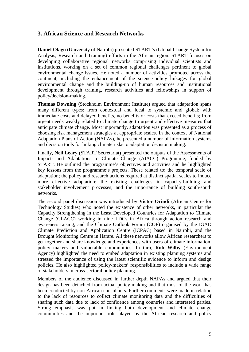## **3. African Science and Research Networks**

**Daniel Olago** (University of Nairobi) presented START's (Global Change System for Analysis, Research and Training) efforts in the African region. START focuses on developing collaborative regional networks comprising individual scientists and institutions, working on a set of common regional challenges pertinent to global environmental change issues. He noted a number of activities promoted across the continent, including the enhancement of the science-policy linkages for global environmental change and the building-up of human resources and institutional development through training, research activities and fellowships in support of policy/decision-making.

**Thomas Downing** (Stockholm Environment Institute) argued that adaptation spans many different types: from contextual and local to systemic and global; with immediate costs and delayed benefits, no benefits or costs that exceed benefits; from urgent needs weakly related to climate change to urgent and effective measures that anticipate climate change. Most importantly, adaptation was presented as a process of choosing risk management strategies at appropriate scales. In the context of National Adaptation Plans of Action (NAPAs), he presented a number of information systems and decision tools for linking climate risks to adaptation decision making.

Finally, **Neil Leary** (START Secretariat) presented the outputs of the Assessments of Impacts and Adaptations to Climate Change (AIACC) Programme, funded by START. He outlined the programme's objectives and activities and he highlighted key lessons from the programme's projects. These related to: the temporal scale of adaptation; the policy and research actions required at distinct spatial scales to induce more effective adaptation; the existing challenges in capacity-building and stakeholder involvement processes; and the importance of building south-south networks.

The second panel discussion was introduced by **Victor Orindi** (African Centre for Technology Studies) who noted the existence of other networks, in particular the Capacity Strengthening in the Least Developed Countries for Adaptation to Climate Change (CLACC) working in nine LDCs in Africa through action research and awareness raising; and the Climate Outlook Forum (COF) organised by the IGAD Climate Prediction and Application Centre (ICPAC) based in Nairobi, and the Drought Monitoring Centre in Harare. All these networks allow African researchers to get together and share knowledge and experiences with users of climate information, policy makers and vulnerable communities. In turn, **Rob Wilby** (Environment Agency) highlighted the need to embed adaptation in existing planning systems and stressed the importance of using the latest scientific evidence to inform and design policies. He also highlighted policy-makers' responsibilities to include a wide range of stakeholders in cross-sectoral policy planning.

Members of the audience discussed in further depth NAPAs and argued that their design has been detached from actual policy-making and that most of the work has been conducted by non-African consultants. Further comments were made in relation to the lack of resources to collect climate monitoring data and the difficulties of sharing such data due to lack of confidence among countries and interested parties. Strong emphasis was put in linking both development and climate change communities and the important role played by the African research and policy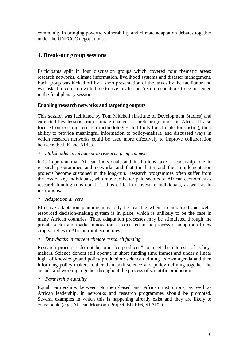community in bringing poverty, vulnerability and climate adaptation debates together under the UNFCCC negotiations.

# **4. Break-out group sessions**

Participants split in four discussion groups which covered four thematic areas: research networks, climate information, livelihood systems and disaster management. Each group was kicked off by a short presentation of the issues by the facilitator and was asked to come up with three to five key lessons/recommendations to be presented in the final plenary session.

#### **Enabling research networks and targeting outputs**

This session was facilitated by Tom Mitchell (Institute of Development Studies) and extracted key lessons from climate change research programmes in Africa. It also focused on existing research methodologies and tools for climate forecasting, their ability to provide meaningful information to policy-makers, and discussed ways in which research networks could be used more effectively to improve collaboration between the UK and Africa.

• *Stakeholder involvement in research programmes*

It is important that African individuals and institutions take a leadership role in research programmes and networks and that the latter and their implementation projects become sustained in the long-run. Research programmes often suffer from the loss of key individuals, who move to better paid sectors of African economies as research funding runs out. It is thus critical to invest in individuals, as well as in institutions.

• *Adaptation drivers* 

Effective adaptation planning may only be feasible when a centralised and wellresourced decision-making system is in place, which is unlikely to be the case in many African countries. Thus, adaptation processes may be stimulated through the private sector and market innovation, as occurred in the process of adoption of new crop varieties in African rural economies.

• *Drawbacks in current climate research funding* 

Research processes do not become "co-produced" to meet the interests of policymakers. Science donors still operate in short funding time frames and under a linear logic of knowledge and policy production: science defining its own agenda and then informing policy-makers, rather than both science and policy defining together the agenda and working together throughout the process of scientific production.

• *Partnership equality* 

Equal partnerships between Northern-based and African institutions, as well as African leadership, in networks and research programmes should be promoted. Several examples in which this is happening already exist and they are likely to consolidate (e.g., African Monsoon Project, EU FP6, START).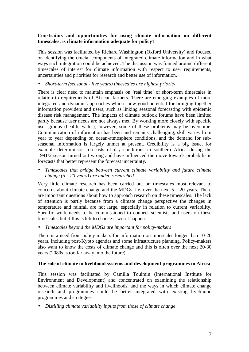#### **Constraints and opportunities for using climate information on different timescales: is climate information adequate for policy?**

This session was facilitated by Richard Washington (Oxford University) and focused on identifying the crucial components of integrated climate information and in what ways such integration could be achieved. The discussion was framed around different timescales of interest for climate information with respect to user requirements, uncertainties and priorities for research and better use of information.

• *Short-term (seasonal - five years) timescales are highest priority* 

There is clear need to maintain emphasis on 'real time' or short-term timescales in relation to requirements of African farmers. There are emerging examples of more integrated and dynamic approaches which show good potential for bringing together information providers and users, such as linking seasonal forecasting with epidemic disease risk management. The impacts of climate outlook forums have been limited partly because user needs are not always met. By working more closely with specific user groups (health, water), however, some of these problems may be overcome. Communication of information has been and remains challenging, skill varies from year to year depending on ocean-atmosphere conditions, and the demand for subseasonal information is largely unmet at present. Credibility is a big issue, for example deterministic forecasts of dry conditions in southern Africa during the 1991/2 season turned out wrong and have influenced the move towards probabilistic forecasts that better represent the forecast uncertainty.

• *Timescales that bridge between current climate variability and future climate change (5 – 20 years) are under-researched* 

Very little climate research has been carried out on timescales most relevant to concerns about climate change and the MDGs, i.e. over the next  $5 - 20$  years. There are important questions about how to approach research on these timescales. The lack of attention is partly because from a climate change perspective the changes in temperature and rainfall are not large, especially in relation to current variability. Specific work needs to be commissioned to connect scientists and users on these timescales but if this is left to chance it won't happen.

• *Timescales beyond the MDGs are important for policy-makers* 

There is a need from policy-makers for information on timescales longer than 10-20 years, including post-Kyoto agendas and some infrastructure planning. Policy-makers also want to know the costs of climate change and this is often over the next 20-30 years (2080s is too far away into the future).

#### **The role of climate in livelihood systems and development programmes in Africa**

This session was facilitated by Camilla Toulmin (International Institute for Environment and Development) and concentrated on examining the relationship between climate variability and livelihoods, and the ways in which climate change research and programmes could be better integrated with existing livelihood programmes and strategies.

• *Distilling climate variability inputs from those of climate change*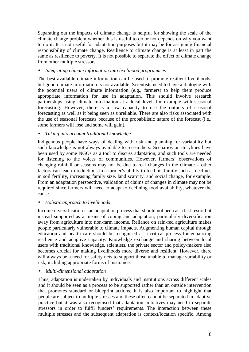Separating out the impacts of climate change is helpful for showing the scale of the climate change problem whether this is useful to do or not depends on why you want to do it. It is not useful for adaptation purposes but it may be for assigning financial responsibility of climate change. Resilience to climate change is at least in part the same as resilience to poverty. It is not possible to separate the effect of climate change from other multiple stressors.

#### • *Integrating climate information into livelihood programmes*

The best available climate information can be used to promote resilient livelihoods, but good climate information is not available. Scientists need to have a dialogue with the potential users of climate information (e.g., farmers) to help them produce appropriate information for use in adaptation. This should involve research partnerships using climate information at a local level, for example with seasonal forecasting. However, there is a low capacity to use the outputs of seasonal forecasting as well as it being seen as unreliable. There are also risks associated with the use of seasonal forecasts because of the probabilistic nature of the forecast (i.e., some farmers will lose and some will gain).

#### • *Taking into account traditional knowledge*

Indigenous people have ways of dealing with risk and planning for variability but such knowledge is not always available to researchers. Scenarios or storylines have been used by some NGOs as a tool to discuss adaptation, and such tools are needed for listening to the voices of communities. However, farmers' observations of changing rainfall or seasons may not be due to real changes in the climate – other factors can lead to reductions in a farmer's ability to feed his family such as declines in soil fertility, increasing family size, land scarcity, and social change, for example. From an adaptation perspective, validation of claims of changes in climate may not be required since farmers will need to adapt to declining food availability, whatever the cause.

### • *Holistic approach to livelihoods*

Income diversification is an adaptation process that should not been as a last resort but instead supported as a means of coping and adaptation, particularly diversification away from agriculture into non-farm income. Reliance on rain-fed agriculture makes people particularly vulnerable to climate impacts. Augmenting human capital through education and health care should be recognised as a critical process for enhancing resilience and adaptive capacity. Knowledge exchange and sharing between local users with traditional knowledge, scientists, the private sector and policy-makers also becomes crucial for making livelihoods more diverse and resilient. However, there will always be a need for safety nets to support those unable to manage variability or risk, including appropriate forms of insurance.

#### • *Multi-dimensional adaptation*

Thus, adaptation is undertaken by individuals and institutions across different scales and it should be seen as a process to be supported rather than an outside intervention that promotes standard or blueprint actions. It is also important to highlight that people are subject to multiple stresses and these often cannot be separated in adaptive practice but it was also recognised that adaptation initiatives may need to separate stressors in order to fulfil funders' requirements. The interaction between these multiple stresses and the subsequent adaptation is context/location specific. Among